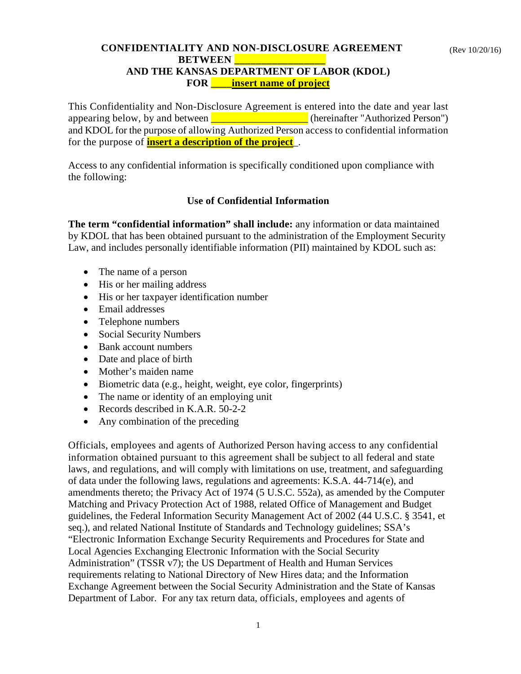## **CONFIDENTIALITY AND NON-DISCLOSURE AGREEMENT BETWEEN AND THE KANSAS DEPARTMENT OF LABOR (KDOL) FOR \_\_\_\_insert name of project**

This Confidentiality and Non-Disclosure Agreement is entered into the date and year last appearing below, by and between **EXECUTE:** (hereinafter "Authorized Person") and KDOL for the purpose of allowing Authorized Person access to confidential information for the purpose of **insert a description of the project**\_.

Access to any confidential information is specifically conditioned upon compliance with the following:

## **Use of Confidential Information**

**The term "confidential information" shall include:** any information or data maintained by KDOL that has been obtained pursuant to the administration of the Employment Security Law, and includes personally identifiable information (PII) maintained by KDOL such as:

- The name of a person
- His or her mailing address
- His or her taxpayer identification number
- Email addresses
- Telephone numbers
- Social Security Numbers
- Bank account numbers
- Date and place of birth
- Mother's maiden name
- Biometric data (e.g., height, weight, eye color, fingerprints)
- The name or identity of an employing unit
- Records described in K.A.R. 50-2-2
- Any combination of the preceding

Officials, employees and agents of Authorized Person having access to any confidential information obtained pursuant to this agreement shall be subject to all federal and state laws, and regulations, and will comply with limitations on use, treatment, and safeguarding of data under the following laws, regulations and agreements: K.S.A. 44-714(e), and amendments thereto; the Privacy Act of 1974 (5 U.S.C. 552a), as amended by the Computer Matching and Privacy Protection Act of 1988, related Office of Management and Budget guidelines, the Federal Information Security Management Act of 2002 (44 U.S.C. § 3541, et seq.), and related National Institute of Standards and Technology guidelines; SSA's "Electronic Information Exchange Security Requirements and Procedures for State and Local Agencies Exchanging Electronic Information with the Social Security Administration" (TSSR v7); the US Department of Health and Human Services requirements relating to National Directory of New Hires data; and the Information Exchange Agreement between the Social Security Administration and the State of Kansas Department of Labor. For any tax return data, officials, employees and agents of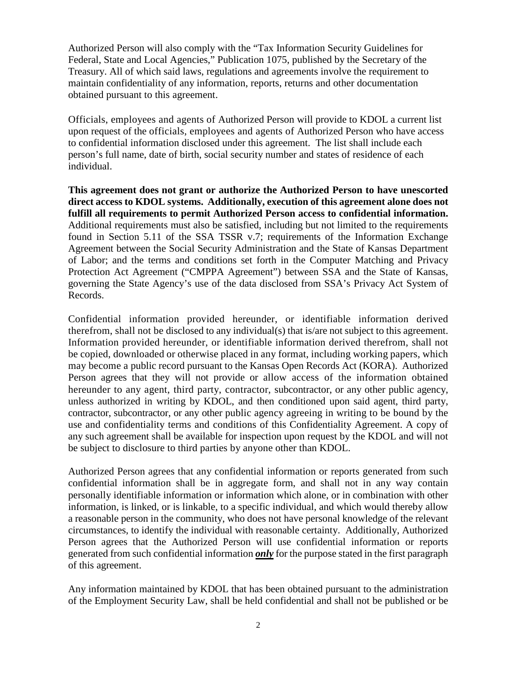Authorized Person will also comply with the "Tax Information Security Guidelines for Federal, State and Local Agencies," Publication 1075, published by the Secretary of the Treasury. All of which said laws, regulations and agreements involve the requirement to maintain confidentiality of any information, reports, returns and other documentation obtained pursuant to this agreement.

Officials, employees and agents of Authorized Person will provide to KDOL a current list upon request of the officials, employees and agents of Authorized Person who have access to confidential information disclosed under this agreement. The list shall include each person's full name, date of birth, social security number and states of residence of each individual.

**This agreement does not grant or authorize the Authorized Person to have unescorted direct access to KDOL systems. Additionally, execution of this agreement alone does not fulfill all requirements to permit Authorized Person access to confidential information.**  Additional requirements must also be satisfied, including but not limited to the requirements found in Section 5.11 of the SSA TSSR v.7; requirements of the Information Exchange Agreement between the Social Security Administration and the State of Kansas Department of Labor; and the terms and conditions set forth in the Computer Matching and Privacy Protection Act Agreement ("CMPPA Agreement") between SSA and the State of Kansas, governing the State Agency's use of the data disclosed from SSA's Privacy Act System of Records.

Confidential information provided hereunder, or identifiable information derived therefrom, shall not be disclosed to any individual(s) that is/are not subject to this agreement. Information provided hereunder, or identifiable information derived therefrom, shall not be copied, downloaded or otherwise placed in any format, including working papers, which may become a public record pursuant to the Kansas Open Records Act (KORA). Authorized Person agrees that they will not provide or allow access of the information obtained hereunder to any agent, third party, contractor, subcontractor, or any other public agency, unless authorized in writing by KDOL, and then conditioned upon said agent, third party, contractor, subcontractor, or any other public agency agreeing in writing to be bound by the use and confidentiality terms and conditions of this Confidentiality Agreement. A copy of any such agreement shall be available for inspection upon request by the KDOL and will not be subject to disclosure to third parties by anyone other than KDOL.

Authorized Person agrees that any confidential information or reports generated from such confidential information shall be in aggregate form, and shall not in any way contain personally identifiable information or information which alone, or in combination with other information, is linked, or is linkable, to a specific individual, and which would thereby allow a reasonable person in the community, who does not have personal knowledge of the relevant circumstances, to identify the individual with reasonable certainty. Additionally, Authorized Person agrees that the Authorized Person will use confidential information or reports generated from such confidential information *only* for the purpose stated in the first paragraph of this agreement.

Any information maintained by KDOL that has been obtained pursuant to the administration of the Employment Security Law, shall be held confidential and shall not be published or be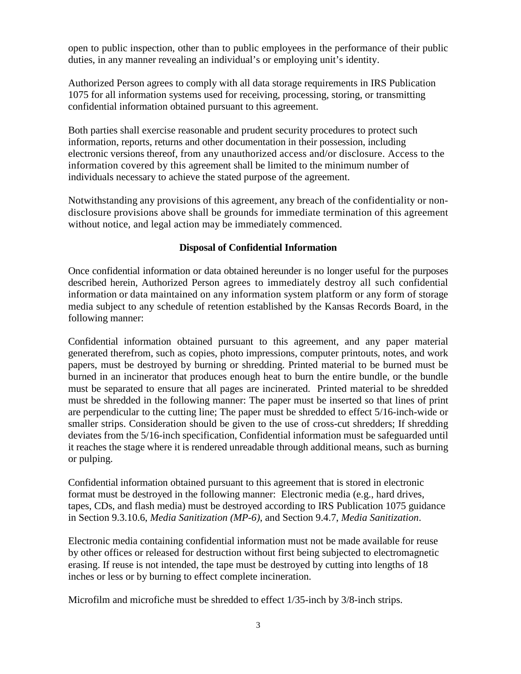open to public inspection, other than to public employees in the performance of their public duties, in any manner revealing an individual's or employing unit's identity.

Authorized Person agrees to comply with all data storage requirements in IRS Publication 1075 for all information systems used for receiving, processing, storing, or transmitting confidential information obtained pursuant to this agreement.

Both parties shall exercise reasonable and prudent security procedures to protect such information, reports, returns and other documentation in their possession, including electronic versions thereof, from any unauthorized access and/or disclosure. Access to the information covered by this agreement shall be limited to the minimum number of individuals necessary to achieve the stated purpose of the agreement.

Notwithstanding any provisions of this agreement, any breach of the confidentiality or nondisclosure provisions above shall be grounds for immediate termination of this agreement without notice, and legal action may be immediately commenced.

## **Disposal of Confidential Information**

Once confidential information or data obtained hereunder is no longer useful for the purposes described herein, Authorized Person agrees to immediately destroy all such confidential information or data maintained on any information system platform or any form of storage media subject to any schedule of retention established by the Kansas Records Board, in the following manner:

Confidential information obtained pursuant to this agreement, and any paper material generated therefrom, such as copies, photo impressions, computer printouts, notes, and work papers, must be destroyed by burning or shredding. Printed material to be burned must be burned in an incinerator that produces enough heat to burn the entire bundle, or the bundle must be separated to ensure that all pages are incinerated. Printed material to be shredded must be shredded in the following manner: The paper must be inserted so that lines of print are perpendicular to the cutting line; The paper must be shredded to effect 5/16-inch-wide or smaller strips. Consideration should be given to the use of cross-cut shredders; If shredding deviates from the 5/16-inch specification, Confidential information must be safeguarded until it reaches the stage where it is rendered unreadable through additional means, such as burning or pulping.

Confidential information obtained pursuant to this agreement that is stored in electronic format must be destroyed in the following manner: Electronic media (e.g., hard drives, tapes, CDs, and flash media) must be destroyed according to IRS Publication 1075 guidance in Section 9.3.10.6, *Media Sanitization (MP-6)*, and Section 9.4.7, *Media Sanitization*.

Electronic media containing confidential information must not be made available for reuse by other offices or released for destruction without first being subjected to electromagnetic erasing. If reuse is not intended, the tape must be destroyed by cutting into lengths of 18 inches or less or by burning to effect complete incineration.

Microfilm and microfiche must be shredded to effect 1/35-inch by 3/8-inch strips.